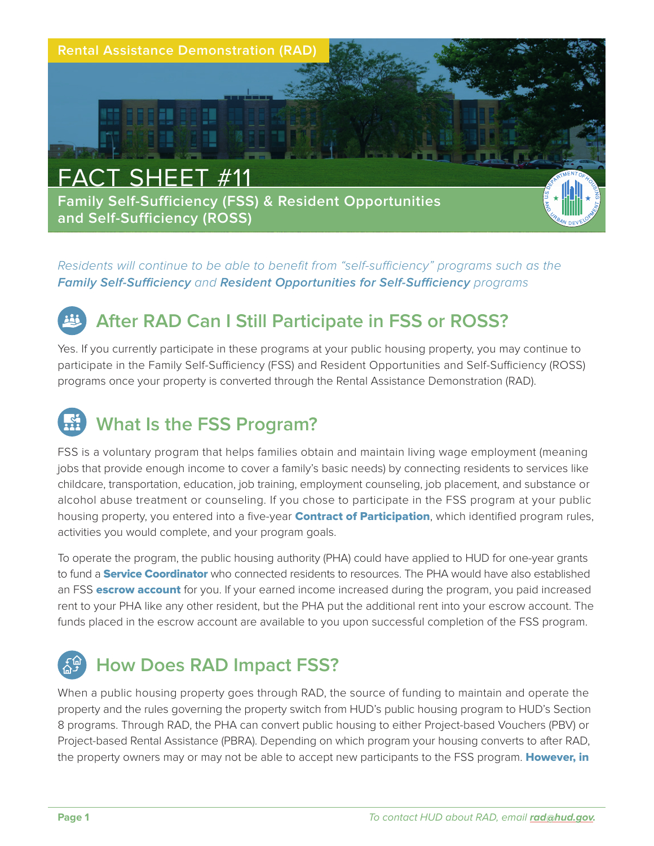

*Residents will continue to be able to benefit from "self-sufficiency" programs such as the*  **Family Self-Sufficiency** *and* **Resident Opportunities for Self-Sufficiency** *programs* 

## **After RAD Can I Still Participate in FSS or ROSS?**

Yes. If you currently participate in these programs at your public housing property, you may continue to participate in the Family Self-Sufficiency (FSS) and Resident Opportunities and Self-Sufficiency (ROSS) programs once your property is converted through the Rental Assistance Demonstration (RAD).

# **What Is the FSS Program?**

FSS is a voluntary program that helps families obtain and maintain living wage employment (meaning jobs that provide enough income to cover a family's basic needs) by connecting residents to services like childcare, transportation, education, job training, employment counseling, job placement, and substance or alcohol abuse treatment or counseling. If you chose to participate in the FSS program at your public housing property, you entered into a five-year **Contract of Participation**, which identified program rules, activities you would complete, and your program goals.

To operate the program, the public housing authority (PHA) could have applied to HUD for one-year grants to fund a **Service Coordinator** who connected residents to resources. The PHA would have also established an FSS escrow account for you. If your earned income increased during the program, you paid increased rent to your PHA like any other resident, but the PHA put the additional rent into your escrow account. The funds placed in the escrow account are available to you upon successful completion of the FSS program.

## **How Does RAD Impact FSS?**

When a public housing property goes through RAD, the source of funding to maintain and operate the property and the rules governing the property switch from HUD's public housing program to HUD's Section 8 programs. Through RAD, the PHA can convert public housing to either Project-based Vouchers (PBV) or Project-based Rental Assistance (PBRA). Depending on which program your housing converts to after RAD, the property owners may or may not be able to accept new participants to the FSS program. However, in